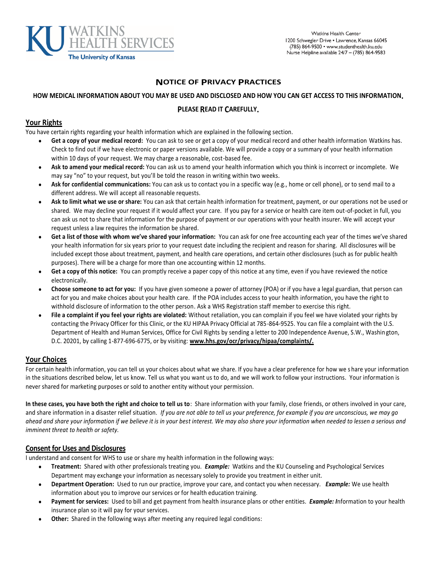

## **NOTICE OF PRIVACY PRACTICES**

# **HOW MEDICAL INFORMATION ABOUT YOU MAY BE USED AND DISCLOSED AND HOW YOU CAN GET ACCESS TO THIS INFORMATION.**

#### **PLEASE READ IT CAREFULLY.**

### **Your Rights**

You have certain rights regarding your health information which are explained in the following section.

- **Get a copy of your medical record:** You can ask to see or get a copy of your medical record and other health information Watkins has. Check to find out if we have electronic or paper versions available. We will provide a copy or a summary of your health information within 10 days of your request. We may charge a reasonable, cost-based fee.
- **Ask to amend your medical record:** You can ask us to amend your health information which you think is incorrect or incomplete. We may say "no" to your request, but you'll be told the reason in writing within two weeks.
- **Ask for confidential communications:** You can ask us to contact you in a specific way (e.g., home or cell phone), or to send mail to a different address. We will accept all reasonable requests.
- **Ask to limit what we use or share:** You can ask that certain health information for treatment, payment, or our operations not be used or shared. We may decline your request if it would affect your care. If you pay for a service or health care item out-of-pocket in full, you can ask us not to share that information for the purpose of payment or our operations with your health insurer. We will accept your request unless a law requires the information be shared.
- **Get a list of those with whom we've shared your information:** You can ask for one free accounting each year of the times we've shared your health information for six years prior to your request date including the recipient and reason for sharing. All disclosures will be included except those about treatment, payment, and health care operations, and certain other disclosures (such as for public health purposes). There will be a charge for more than one accounting within 12 months.
- **Get a copy of this notice:** You can promptly receive a paper copy of this notice at any time, even if you have reviewed the notice electronically.
- **Choose someone to act for you:** If you have given someone a power of attorney (POA) or if you have a legal guardian, that person can act for you and make choices about your health care. If the POA includes access to your health information, you have the right to withhold disclosure of information to the other person. Ask a WHS Registration staff member to exercise this right.
- **File a complaint if you feel your rights are violated:** Without retaliation, you can complain if you feel we have violated your rights by contacting the Privacy Officer for this Clinic, or the KU HIPAA Privacy Official at 785-864-9525. You can file a complaint with the U.S. Department of Health and Human Services, Office for Civil Rights by sending a letter to 200 Independence Avenue, S.W., Washin gton, D.C. 20201, by calling 1-877-696-6775, or by visiting: **www.hhs.gov/ocr/privacy/hipaa/complaints/.**

## **Your Choices**

For certain health information, you can tell us your choices about what we share. If you have a clear preference for how we s hare your information in the situations described below, let us know. Tell us what you want us to do, and we will work to follow your instructions. Your information is never shared for marketing purposes or sold to another entity without your permission.

**In these cases, you have both the right and choice to tell us to**: Share information with your family, close friends, or others involved in your care, and share information in a disaster relief situation. *If you are not able to tell us your preference, for example if you are unconscious, we may go ahead and share your information if we believe it is in your best interest. We may also share your information when needed to lessen a serious and imminent threat to health or safety.*

#### **Consent for Uses and Disclosures**

I understand and consent for WHS to use or share my health information in the following ways:

- **Treatment:** Shared with other professionals treating you. *Example:* Watkins and the KU Counseling and Psychological Services Department may exchange your information as necessary solely to provide you treatment in either unit.
- **Department Operation:** Used to run our practice, improve your care, and contact you when necessary. *Example:* We use health information about you to improve our services or for health education training.
- **Payment for services:** Used to bill and get payment from health insurance plans or other entities. *Example: I*nformation to your health insurance plan so it will pay for your services.
- **Other:** Shared in the following ways after meeting any required legal conditions: